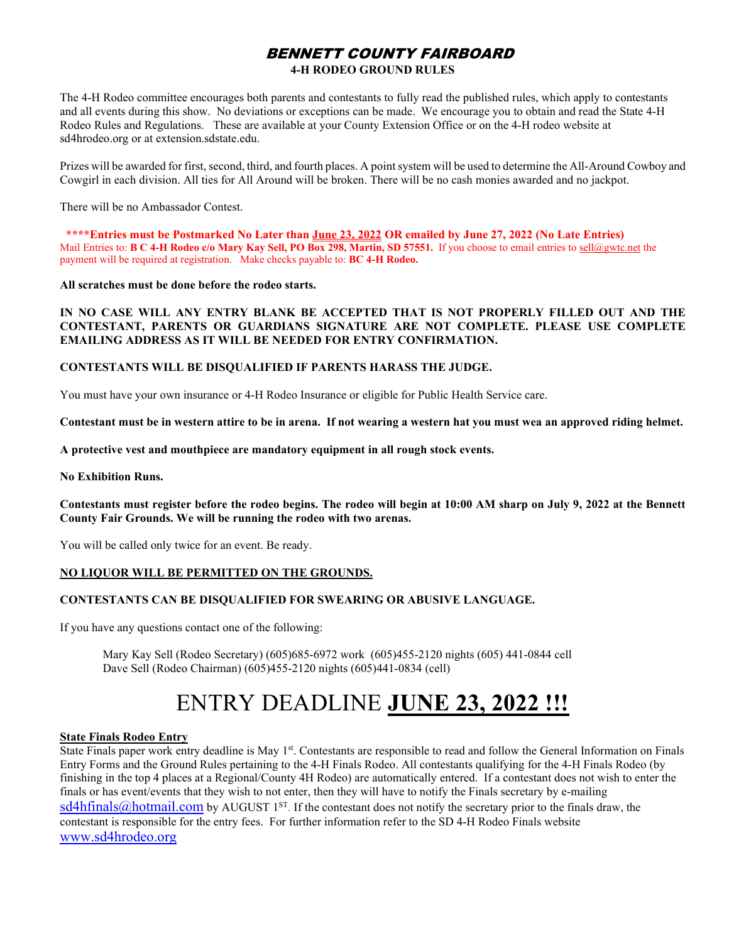## BENNETT COUNTY FAIRBOARD

#### **4-H RODEO GROUND RULES**

The 4-H Rodeo committee encourages both parents and contestants to fully read the published rules, which apply to contestants and all events during this show. No deviations or exceptions can be made. We encourage you to obtain and read the State 4-H Rodeo Rules and Regulations. These are available at your County Extension Office or on the 4-H rodeo website at sd4hrodeo.org or at extension.sdstate.edu.

Prizes will be awarded for first, second, third, and fourth places. A point system will be used to determine the All-Around Cowboy and Cowgirl in each division. All ties for All Around will be broken. There will be no cash monies awarded and no jackpot.

There will be no Ambassador Contest.

 **\*\*\*\*Entries must be Postmarked No Later than June 23, 2022 OR emailed by June 27, 2022 (No Late Entries)** Mail Entries to: **B C 4-H Rodeo c/o Mary Kay Sell, PO Box 298, Martin, SD 57551.** If you choose to email entries t[o sell@gwtc.net](mailto:sell@gwtc.net) the payment will be required at registration. Make checks payable to: **BC 4-H Rodeo.**

**All scratches must be done before the rodeo starts.**

**IN NO CASE WILL ANY ENTRY BLANK BE ACCEPTED THAT IS NOT PROPERLY FILLED OUT AND THE CONTESTANT, PARENTS OR GUARDIANS SIGNATURE ARE NOT COMPLETE. PLEASE USE COMPLETE EMAILING ADDRESS AS IT WILL BE NEEDED FOR ENTRY CONFIRMATION.**

#### **CONTESTANTS WILL BE DISQUALIFIED IF PARENTS HARASS THE JUDGE.**

You must have your own insurance or 4-H Rodeo Insurance or eligible for Public Health Service care.

**Contestant must be in western attire to be in arena. If not wearing a western hat you must wea an approved riding helmet.**

**A protective vest and mouthpiece are mandatory equipment in all rough stock events.**

**No Exhibition Runs.**

**Contestants must register before the rodeo begins. The rodeo will begin at 10:00 AM sharp on July 9, 2022 at the Bennett County Fair Grounds. We will be running the rodeo with two arenas.**

You will be called only twice for an event. Be ready.

#### **NO LIQUOR WILL BE PERMITTED ON THE GROUNDS.**

#### **CONTESTANTS CAN BE DISQUALIFIED FOR SWEARING OR ABUSIVE LANGUAGE.**

If you have any questions contact one of the following:

Mary Kay Sell (Rodeo Secretary) (605)685-6972 work (605)455-2120 nights (605) 441-0844 cell Dave Sell (Rodeo Chairman) (605)455-2120 nights (605)441-0834 (cell)

# ENTRY DEADLINE **JUNE 23, 2022 !!!**

#### **State Finals Rodeo Entry**

State Finals paper work entry deadline is May  $1<sup>st</sup>$ . Contestants are responsible to read and follow the General Information on Finals Entry Forms and the Ground Rules pertaining to the 4-H Finals Rodeo. All contestants qualifying for the 4-H Finals Rodeo (by finishing in the top 4 places at a Regional/County 4H Rodeo) are automatically entered. If a contestant does not wish to enter the finals or has event/events that they wish to not enter, then they will have to notify the Finals secretary by e-mailing  $sd4hfinals@hotmail.com$  by AUGUST 1<sup>ST</sup>. If the contestant does not notify the secretary prior to the finals draw, the contestant is responsible for the entry fees. For further information refer to the SD 4-H Rodeo Finals website [www.sd4hrodeo.org](http://www.sd4hrodeo.org/)